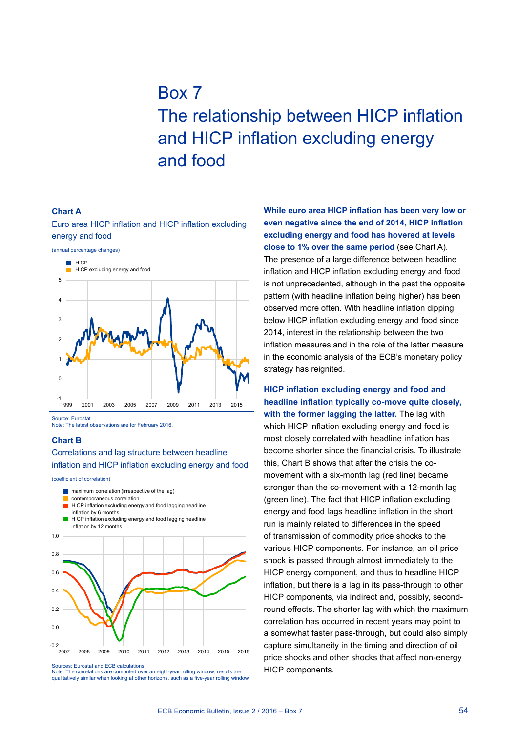# Box 7 The relationship between HICP inflation and HICP inflation excluding energy and food

#### **Chart A**

Euro area HICP inflation and HICP inflation excluding energy and food



Source: Eurostat. Note: The latest observations are for February 2016.

#### **Chart B**

### Correlations and lag structure between headline inflation and HICP inflation excluding energy and food

(coefficient of correlation)

- $\blacksquare$  maximum correlation (irrespective of the lag)
- contemporaneous correlation
- **HICP** inflation excluding energy and food lagging headline inflation by 6 months
- HICP inflation excluding energy and food lagging headline inflation by 12 months



Sources: Eurostat and ECB calculations.

Note: The correlations are computed over an eight-year rolling window; results are qualitatively similar when looking at other horizons, such as a five-year rolling window. **While euro area HICP inflation has been very low or even negative since the end of 2014, HICP inflation excluding energy and food has hovered at levels close to 1% over the same period** (see Chart A). The presence of a large difference between headline inflation and HICP inflation excluding energy and food is not unprecedented, although in the past the opposite pattern (with headline inflation being higher) has been observed more often. With headline inflation dipping below HICP inflation excluding energy and food since 2014, interest in the relationship between the two inflation measures and in the role of the latter measure in the economic analysis of the ECB's monetary policy strategy has reignited.

**HICP inflation excluding energy and food and headline inflation typically co-move quite closely, with the former lagging the latter.** The lag with which HICP inflation excluding energy and food is most closely correlated with headline inflation has become shorter since the financial crisis. To illustrate this, Chart B shows that after the crisis the comovement with a six-month lag (red line) became stronger than the co-movement with a 12-month lag (green line). The fact that HICP inflation excluding energy and food lags headline inflation in the short run is mainly related to differences in the speed of transmission of commodity price shocks to the various HICP components. For instance, an oil price shock is passed through almost immediately to the HICP energy component, and thus to headline HICP inflation, but there is a lag in its pass-through to other HICP components, via indirect and, possibly, secondround effects. The shorter lag with which the maximum correlation has occurred in recent years may point to a somewhat faster pass-through, but could also simply capture simultaneity in the timing and direction of oil price shocks and other shocks that affect non-energy HICP components.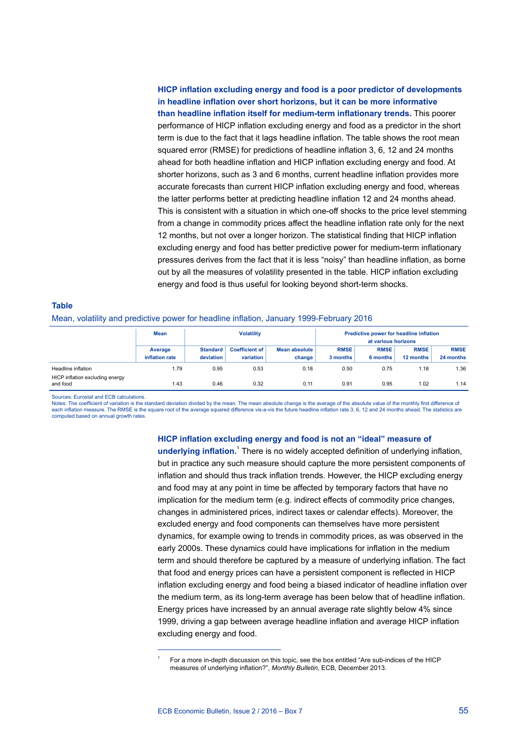## **HICP inflation excluding energy and food is a poor predictor of developments in headline inflation over short horizons, but it can be more informative than headline inflation itself for medium-term inflationary trends.** This poorer performance of HICP inflation excluding energy and food as a predictor in the short term is due to the fact that it lags headline inflation. The table shows the root mean squared error (RMSE) for predictions of headline inflation 3, 6, 12 and 24 months ahead for both headline inflation and HICP inflation excluding energy and food. At shorter horizons, such as 3 and 6 months, current headline inflation provides more accurate forecasts than current HICP inflation excluding energy and food, whereas the latter performs better at predicting headline inflation 12 and 24 months ahead. This is consistent with a situation in which one-off shocks to the price level stemming from a change in commodity prices affect the headline inflation rate only for the next 12 months, but not over a longer horizon. The statistical finding that HICP inflation excluding energy and food has better predictive power for medium-term inflationary pressures derives from the fact that it is less "noisy" than headline inflation, as borne out by all the measures of volatility presented in the table. HICP inflation excluding energy and food is thus useful for looking beyond short-term shocks.

## **Table** Mean, volatility and predictive power for headline inflation, January 1999-February 2016

|                                                                   | Mean                      | <b>Volatility</b>            |                                    |                                | Predictive power for headline inflation<br>at various horizons |                         |                          |                          |
|-------------------------------------------------------------------|---------------------------|------------------------------|------------------------------------|--------------------------------|----------------------------------------------------------------|-------------------------|--------------------------|--------------------------|
|                                                                   | Average<br>inflation rate | <b>Standard</b><br>deviation | <b>Coefficient of</b><br>variation | <b>Mean absolute</b><br>change | <b>RMSE</b><br>3 months                                        | <b>RMSE</b><br>6 months | <b>RMSE</b><br>12 months | <b>RMSE</b><br>24 months |
| Headline inflation<br>HICP inflation excluding energy<br>and food | 1.79<br>1.43              | 0.95<br>0.46                 | 0.53<br>0.32                       | 0.18<br>0.11                   | 0.50<br>0.91                                                   | 0.75<br>0.95            | 1.18<br>1.02             | 1.36<br>1.14             |

Sources: Eurostat and ECB calculations.

Notes: The coefficient of variation is the standard deviation divided by the mean. The mean absolute is the average of the absolute value of the monthly first difference of<br>each inflation measure. The RMSE is the square ro computed based on annual growth rates.

#### **HICP inflation excluding energy and food is not an "ideal" measure of**

**underlying inflation.**<sup>1</sup> There is no widely accepted definition of underlying inflation, but in practice any such measure should capture the more persistent components of inflation and should thus track inflation trends. However, the HICP excluding energy and food may at any point in time be affected by temporary factors that have no implication for the medium term (e.g. indirect effects of commodity price changes, changes in administered prices, indirect taxes or calendar effects). Moreover, the excluded energy and food components can themselves have more persistent dynamics, for example owing to trends in commodity prices, as was observed in the early 2000s. These dynamics could have implications for inflation in the medium term and should therefore be captured by a measure of underlying inflation. The fact that food and energy prices can have a persistent component is reflected in HICP inflation excluding energy and food being a biased indicator of headline inflation over the medium term, as its long-term average has been below that of headline inflation. Energy prices have increased by an annual average rate slightly below 4% since 1999, driving a gap between average headline inflation and average HICP inflation excluding energy and food.

<sup>1</sup> For a more in-depth discussion on this topic, see the box entitled "Are sub-indices of the HICP measures of underlying inflation?", *Monthly Bulletin*, ECB, December 2013.